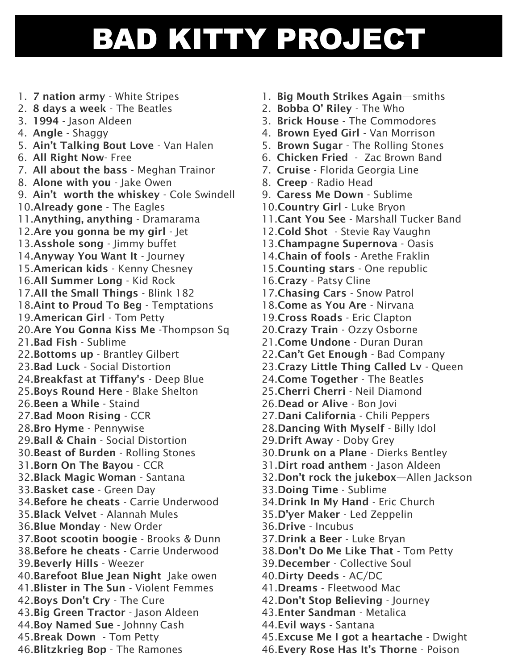## BAD KITTY PROJECT

- 1. **7 nation army** White Stripes
- 2. **8 days a week** The Beatles
- 3. **1994** Jason Aldeen
- 4. **Angle**  Shaggy
- 5. **Ain't Talking Bout Love** Van Halen
- 6. **All Right Now** Free
- 7. **All about the bass** Meghan Trainor
- 8. **Alone with you** Jake Owen
- 9. **Ain't worth the whiskey** Cole Swindell
- 10.**Already gone**  The Eagles
- 11.**Anything, anything** Dramarama
- 12.**Are you gonna be my girl**  Jet
- 13.**Asshole song**  Jimmy buffet
- 14.**Anyway You Want It** Journey
- 15.**American kids** Kenny Chesney
- 16.**All Summer Long**  Kid Rock
- 17.**All the Small Things** Blink 182
- 18.**Aint to Proud To Beg** Temptations
- 19.**American Girl** Tom Petty
- 20.**Are You Gonna Kiss Me** -Thompson Sq
- 21.**Bad Fish** Sublime
- 22.**Bottoms up**  Brantley Gilbert
- 23.**Bad Luck** Social Distortion
- 24.**Breakfast at Tiffany's** Deep Blue
- 25.**Boys Round Here** Blake Shelton
- 26.**Been a While** Staind
- 27.**Bad Moon Rising** CCR
- 28.**Bro Hyme** Pennywise
- 29.**Ball & Chain** Social Distortion
- 30.**Beast of Burden** Rolling Stones
- 31.**Born On The Bayou** CCR
- 32.**Black Magic Woman** Santana
- 33.**Basket case**  Green Day
- 34.**Before he cheats** Carrie Underwood
- 35.**Black Velvet** Alannah Mules
- 36.**Blue Monday** New Order
- 37.**Boot scootin boogie** Brooks & Dunn
- 38.**Before he cheats** Carrie Underwood
- 39.**Beverly Hills** Weezer
- 40.**Barefoot Blue Jean Night** Jake owen
- 41.**Blister in The Sun** Violent Femmes
- 42.**Boys Don't Cry** The Cure
- 43.**Big Green Tractor** Jason Aldeen 44.**Boy Named Sue** - Johnny Cash
- 45.**Break Down** Tom Petty
- 46.**Blitzkrieg Bop** The Ramones
- 1. **Big Mouth Strikes Again**—smiths
- 2. **Bobba O' Riley** The Who
- 3. **Brick House** The Commodores
- 4. **Brown Eyed Girl** Van Morrison
- 5. **Brown Sugar** The Rolling Stones
- 6. **Chicken Fried** Zac Brown Band
- 7. **Cruise** Florida Georgia Line
- 8. **Creep** Radio Head
- 9. **Caress Me Down** Sublime
- 10.**Country Girl** Luke Bryon
- 11.**Cant You See** Marshall Tucker Band
- 12.**Cold Shot**  Stevie Ray Vaughn
- 13.**Champagne Supernova** Oasis
- 14.**Chain of fools** Arethe Fraklin
- 15.**Counting stars** One republic
- 16.**Crazy** Patsy Cline
- 17.**Chasing Cars** Snow Patrol
- 18.**Come as You Are** Nirvana
- 19.**Cross Roads** Eric Clapton
- 20.**Crazy Train** Ozzy Osborne
- 21.**Come Undone** Duran Duran
- 22.**Can't Get Enough** Bad Company
- 23.**Crazy Little Thing Called Lv** Queen
- 24.**Come Together** The Beatles
- 25.**Cherri Cherri** Neil Diamond
- 26.**Dead or Alive** Bon Jovi
- 27.**Dani California** Chili Peppers
- 28.**Dancing With Myself** Billy Idol
- 29.**Drift Away** Doby Grey
- 30.**Drunk on a Plane**  Dierks Bentley
- 31.**Dirt road anthem**  Jason Aldeen
- 32.**Don't rock the jukebox—**Allen Jackson
- 33.**Doing Time** Sublime
- 34.**Drink In My Hand** Eric Church
- 35.**D'yer Maker** Led Zeppelin
- 36.**Drive**  Incubus
- 37.**Drink a Beer**  Luke Bryan
- 38.**Don't Do Me Like That** Tom Petty
- 39.**December**  Collective Soul
- 40.**Dirty Deeds**  AC/DC
- 41.**Dreams**  Fleetwood Mac
- 42.**Don't Stop Believing** Journey
- 43.**Enter Sandman** Metalica
- 44.**Evil ways** Santana
- 45.**Excuse Me I got a heartache**  Dwight
- 46.**Every Rose Has It's Thorne** Poison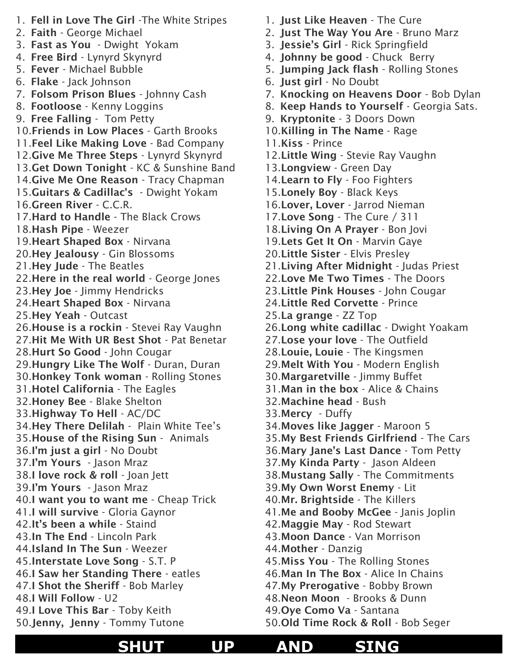1. **Fell in Love The Girl** -The White Stripes 2. **Faith** - George Michael 3. **Fast as You** - Dwight Yokam 4. **Free Bird** - Lynyrd Skynyrd 5. **Fever** - Michael Bubble 6. **Flake** - Jack Johnson 7. **Folsom Prison Blues** - Johnny Cash 8. **Footloose** - Kenny Loggins 9. **Free Falling** - Tom Petty 10.**Friends in Low Places** - Garth Brooks 11.**Feel Like Making Love** - Bad Company 12.**Give Me Three Steps** - Lynyrd Skynyrd 13.**Get Down Tonight** - KC & Sunshine Band 14.**Give Me One Reason** - Tracy Chapman 15.**Guitars & Cadillac's** - Dwight Yokam 16.**Green River** - C.C.R. 17.**Hard to Handle** - The Black Crows 18.**Hash Pipe** - Weezer 19.**Heart Shaped Box** - Nirvana 20.**Hey Jealousy** - Gin Blossoms 21.**Hey Jude** - The Beatles 22.**Here in the real world** - George Jones 23.**Hey Joe** - Jimmy Hendricks 24.**Heart Shaped Box** - Nirvana 25.**Hey Yeah** - Outcast 26.**House is a rockin** - Stevei Ray Vaughn 27.**Hit Me With UR Best Shot** - Pat Benetar 28.**Hurt So Good** - John Cougar 29.**Hungry Like The Wolf** - Duran, Duran 30.**Honkey Tonk woman** - Rolling Stones 31.**Hotel California** - The Eagles 32.**Honey Bee** - Blake Shelton 33.**Highway To Hell** - AC/DC 34.**Hey There Delilah** - Plain White Tee's 35.**House of the Rising Sun** - Animals 36.**I'm just a girl** - No Doubt 37.**I'm Yours** - Jason Mraz 38.**I love rock & roll** - Joan Jett 39.**I'm Yours** - Jason Mraz 40.**I want you to want me** - Cheap Trick 41.**I will survive** - Gloria Gaynor 42.**It's been a while** - Staind 43.**In The End** - Lincoln Park 44.**Island In The Sun** - Weezer 45.**Interstate Love Song** - S.T. P 46.**I Saw her Standing There** - eatles 47.**I Shot the Sheriff** - Bob Marley 48.**I Will Follow** - U2 49.**I Love This Bar** - Toby Keith 50.**Jenny, Jenny** - Tommy Tutone

- 1. **Just Like Heaven** The Cure
- 2. **Just The Way You Are** Bruno Marz
- 3. **Jessie's Girl** Rick Springfield
- 4. **Johnny be good** Chuck Berry
- 5. **Jumping Jack flash** Rolling Stones
- 6. **Just girl** No Doubt
- 7. **Knocking on Heavens Door** Bob Dylan
- 8. **Keep Hands to Yourself** Georgia Sats.
- 9. **Kryptonite** 3 Doors Down
- 10.**Killing in The Name**  Rage
- 11.**Kiss** Prince
- 12.**Little Wing** Stevie Ray Vaughn
- 13.**Longview** Green Day
- 14.**Learn to Fly** Foo Fighters
- 15.**Lonely Boy** Black Keys
- 16.**Lover, Lover** Jarrod Nieman
- 17.**Love Song** The Cure / 311
- 18.**Living On A Prayer** Bon Jovi
- 19.**Lets Get It On** Marvin Gaye
- 20.**Little Sister** Elvis Presley
- 21.**Living After Midnight** Judas Priest
- 22.**Love Me Two Times** The Doors
- 23.**Little Pink Houses** John Cougar
- 24.**Little Red Corvette** Prince
- 25.**La grange** ZZ Top
- 26.**Long white cadillac** Dwight Yoakam
- 27.**Lose your love** The Outfield
- 28.**Louie, Louie** The Kingsmen
- 29.**Melt With You** Modern English
- 30.**Margaretville** Jimmy Buffet
- 31.**Man in the box** Alice & Chains
- 32.**Machine head** Bush
- 33.**Mercy**  Duffy
- 34.**Moves like Jagger** Maroon 5
- 35.**My Best Friends Girlfriend** The Cars
- 36.**Mary Jane's Last Dance** Tom Petty
- 37.**My Kinda Party** Jason Aldeen
- 38.**Mustang Sally** The Commitments
- 39.**My Own Worst Enemy** Lit
- 40.**Mr. Brightside** The Killers
- 41.**Me and Booby McGee** Janis Joplin
- 42.**Maggie May** Rod Stewart
- 43.**Moon Dance** Van Morrison
- 44.**Mother** Danzig
- 45.**Miss You** The Rolling Stones
- 46.**Man In The Box** Alice In Chains
- 47.**My Prerogative** Bobby Brown
- 48.**Neon Moon**  Brooks & Dunn
- 49.**Oye Como Va** Santana
- 50.**Old Time Rock & Roll** Bob Seger